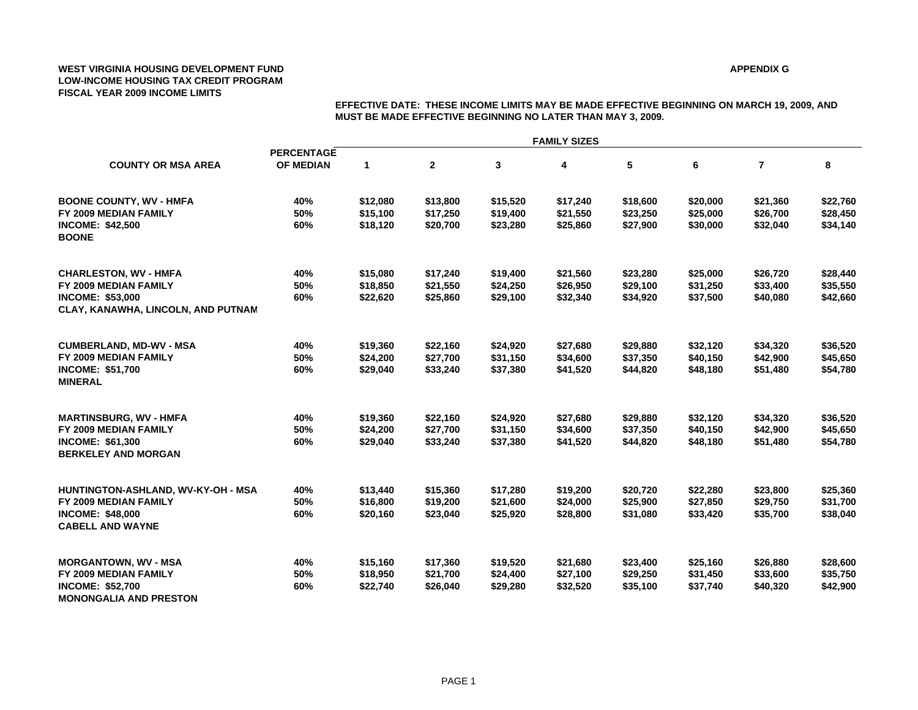### **APPENDIX G**

|                                                       | <b>FAMILY SIZES</b>                   |             |              |          |          |          |          |                |          |  |  |
|-------------------------------------------------------|---------------------------------------|-------------|--------------|----------|----------|----------|----------|----------------|----------|--|--|
| <b>COUNTY OR MSA AREA</b>                             | <b>PERCENTAGE</b><br><b>OF MEDIAN</b> | $\mathbf 1$ | $\mathbf{2}$ | 3        | 4        | 5        | 6        | $\overline{7}$ | 8        |  |  |
|                                                       |                                       |             |              |          |          |          |          |                |          |  |  |
| <b>BOONE COUNTY, WV - HMFA</b>                        | 40%                                   | \$12,080    | \$13,800     | \$15,520 | \$17,240 | \$18,600 | \$20,000 | \$21,360       | \$22,760 |  |  |
| FY 2009 MEDIAN FAMILY                                 | 50%                                   | \$15,100    | \$17,250     | \$19,400 | \$21,550 | \$23,250 | \$25,000 | \$26,700       | \$28,450 |  |  |
| <b>INCOME: \$42,500</b><br><b>BOONE</b>               | 60%                                   | \$18,120    | \$20,700     | \$23,280 | \$25,860 | \$27,900 | \$30,000 | \$32,040       | \$34,140 |  |  |
| <b>CHARLESTON, WV - HMFA</b>                          | 40%                                   | \$15,080    | \$17,240     | \$19,400 | \$21,560 | \$23,280 | \$25,000 | \$26,720       | \$28,440 |  |  |
| FY 2009 MEDIAN FAMILY                                 | 50%                                   | \$18,850    | \$21,550     | \$24,250 | \$26,950 | \$29,100 | \$31,250 | \$33,400       | \$35,550 |  |  |
| <b>INCOME: \$53,000</b>                               | 60%                                   | \$22,620    | \$25,860     | \$29,100 | \$32,340 | \$34,920 | \$37,500 | \$40,080       | \$42,660 |  |  |
| CLAY, KANAWHA, LINCOLN, AND PUTNAM                    |                                       |             |              |          |          |          |          |                |          |  |  |
| <b>CUMBERLAND, MD-WV - MSA</b>                        | 40%                                   | \$19,360    | \$22,160     | \$24,920 | \$27,680 | \$29,880 | \$32,120 | \$34,320       | \$36,520 |  |  |
| FY 2009 MEDIAN FAMILY                                 | 50%                                   | \$24,200    | \$27,700     | \$31,150 | \$34,600 | \$37,350 | \$40,150 | \$42,900       | \$45,650 |  |  |
| <b>INCOME: \$51,700</b><br><b>MINERAL</b>             | 60%                                   | \$29,040    | \$33,240     | \$37,380 | \$41,520 | \$44,820 | \$48,180 | \$51,480       | \$54,780 |  |  |
| <b>MARTINSBURG, WV - HMFA</b>                         | 40%                                   | \$19,360    | \$22,160     | \$24,920 | \$27,680 | \$29,880 | \$32,120 | \$34,320       | \$36,520 |  |  |
| FY 2009 MEDIAN FAMILY                                 | 50%                                   | \$24,200    | \$27,700     | \$31,150 | \$34,600 | \$37,350 | \$40,150 | \$42,900       | \$45,650 |  |  |
| <b>INCOME: \$61,300</b><br><b>BERKELEY AND MORGAN</b> | 60%                                   | \$29,040    | \$33,240     | \$37,380 | \$41,520 | \$44,820 | \$48,180 | \$51,480       | \$54,780 |  |  |
| HUNTINGTON-ASHLAND, WV-KY-OH - MSA                    | 40%                                   | \$13,440    | \$15,360     | \$17,280 | \$19,200 | \$20,720 | \$22,280 | \$23,800       | \$25,360 |  |  |
| FY 2009 MEDIAN FAMILY                                 | 50%                                   | \$16,800    | \$19,200     | \$21,600 | \$24,000 | \$25,900 | \$27,850 | \$29,750       | \$31,700 |  |  |
| <b>INCOME: \$48,000</b><br><b>CABELL AND WAYNE</b>    | 60%                                   | \$20,160    | \$23,040     | \$25,920 | \$28,800 | \$31,080 | \$33,420 | \$35,700       | \$38,040 |  |  |
| <b>MORGANTOWN, WV - MSA</b>                           | 40%                                   | \$15,160    | \$17,360     | \$19,520 | \$21,680 | \$23,400 | \$25,160 | \$26,880       | \$28,600 |  |  |
| FY 2009 MEDIAN FAMILY                                 | 50%                                   | \$18,950    | \$21,700     | \$24,400 | \$27,100 | \$29,250 | \$31,450 | \$33,600       | \$35,750 |  |  |
| <b>INCOME: \$52,700</b>                               | 60%                                   | \$22,740    | \$26,040     | \$29,280 | \$32,520 | \$35,100 | \$37,740 | \$40,320       | \$42,900 |  |  |
| <b>MONONGALIA AND PRESTON</b>                         |                                       |             |              |          |          |          |          |                |          |  |  |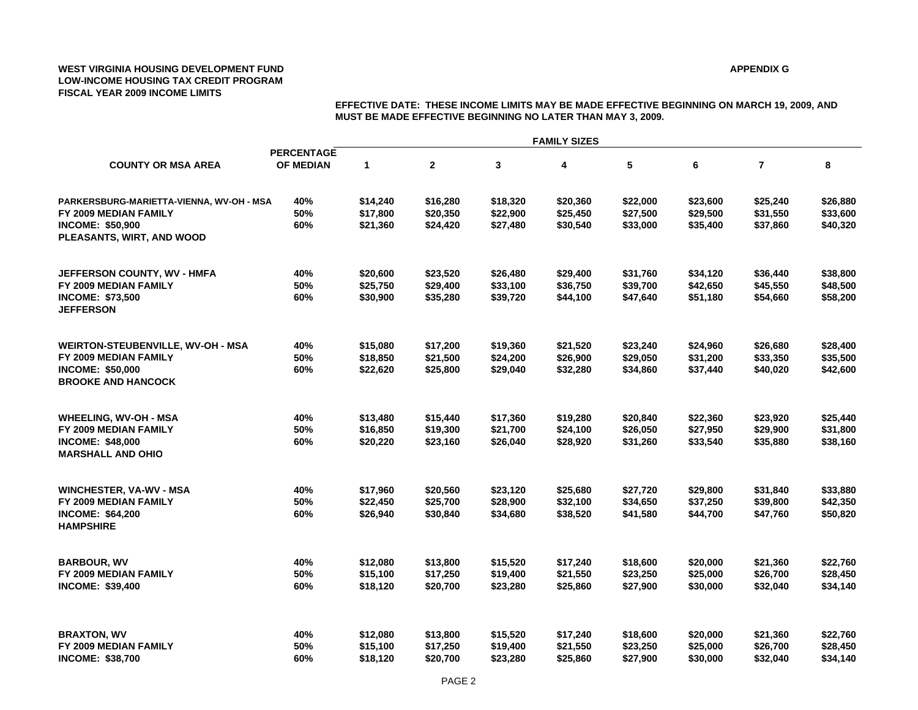### **APPENDIX G**

|                                                                                                                           | <b>FAMILY SIZES</b>                   |                                  |                                  |                                  |                                  |                                  |                                  |                                  |                                  |  |
|---------------------------------------------------------------------------------------------------------------------------|---------------------------------------|----------------------------------|----------------------------------|----------------------------------|----------------------------------|----------------------------------|----------------------------------|----------------------------------|----------------------------------|--|
| <b>COUNTY OR MSA AREA</b>                                                                                                 | <b>PERCENTAGE</b><br><b>OF MEDIAN</b> | $\mathbf 1$                      | $\mathbf{2}$                     | 3                                | 4                                | 5                                | 6                                | $\overline{7}$                   | 8                                |  |
| PARKERSBURG-MARIETTA-VIENNA, WV-OH - MSA<br>FY 2009 MEDIAN FAMILY<br><b>INCOME: \$50,900</b><br>PLEASANTS, WIRT, AND WOOD | 40%<br>50%<br>60%                     | \$14,240<br>\$17,800<br>\$21,360 | \$16,280<br>\$20,350<br>\$24,420 | \$18,320<br>\$22,900<br>\$27,480 | \$20,360<br>\$25,450<br>\$30,540 | \$22,000<br>\$27,500<br>\$33,000 | \$23,600<br>\$29,500<br>\$35,400 | \$25,240<br>\$31,550<br>\$37,860 | \$26,880<br>\$33,600<br>\$40,320 |  |
| JEFFERSON COUNTY, WV - HMFA<br>FY 2009 MEDIAN FAMILY<br><b>INCOME: \$73,500</b><br><b>JEFFERSON</b>                       | 40%<br>50%<br>60%                     | \$20,600<br>\$25,750<br>\$30,900 | \$23,520<br>\$29,400<br>\$35,280 | \$26,480<br>\$33,100<br>\$39,720 | \$29,400<br>\$36,750<br>\$44,100 | \$31,760<br>\$39,700<br>\$47,640 | \$34,120<br>\$42,650<br>\$51,180 | \$36,440<br>\$45,550<br>\$54,660 | \$38,800<br>\$48,500<br>\$58,200 |  |
| WEIRTON-STEUBENVILLE, WV-OH - MSA<br>FY 2009 MEDIAN FAMILY<br><b>INCOME: \$50,000</b><br><b>BROOKE AND HANCOCK</b>        | 40%<br>50%<br>60%                     | \$15,080<br>\$18,850<br>\$22,620 | \$17,200<br>\$21,500<br>\$25,800 | \$19,360<br>\$24,200<br>\$29,040 | \$21,520<br>\$26,900<br>\$32,280 | \$23,240<br>\$29,050<br>\$34,860 | \$24,960<br>\$31,200<br>\$37,440 | \$26,680<br>\$33,350<br>\$40,020 | \$28,400<br>\$35,500<br>\$42,600 |  |
| <b>WHEELING, WV-OH - MSA</b><br>FY 2009 MEDIAN FAMILY<br><b>INCOME: \$48,000</b><br><b>MARSHALL AND OHIO</b>              | 40%<br>50%<br>60%                     | \$13,480<br>\$16,850<br>\$20,220 | \$15,440<br>\$19,300<br>\$23,160 | \$17,360<br>\$21,700<br>\$26,040 | \$19,280<br>\$24,100<br>\$28,920 | \$20,840<br>\$26,050<br>\$31,260 | \$22,360<br>\$27,950<br>\$33,540 | \$23,920<br>\$29,900<br>\$35,880 | \$25,440<br>\$31,800<br>\$38,160 |  |
| <b>WINCHESTER, VA-WV - MSA</b><br>FY 2009 MEDIAN FAMILY<br><b>INCOME: \$64,200</b><br><b>HAMPSHIRE</b>                    | 40%<br>50%<br>60%                     | \$17,960<br>\$22,450<br>\$26,940 | \$20,560<br>\$25,700<br>\$30,840 | \$23,120<br>\$28,900<br>\$34,680 | \$25,680<br>\$32,100<br>\$38,520 | \$27,720<br>\$34,650<br>\$41,580 | \$29,800<br>\$37,250<br>\$44,700 | \$31,840<br>\$39,800<br>\$47,760 | \$33,880<br>\$42,350<br>\$50,820 |  |
| <b>BARBOUR, WV</b><br>FY 2009 MEDIAN FAMILY<br><b>INCOME: \$39,400</b>                                                    | 40%<br>50%<br>60%                     | \$12,080<br>\$15,100<br>\$18,120 | \$13,800<br>\$17,250<br>\$20,700 | \$15,520<br>\$19,400<br>\$23,280 | \$17,240<br>\$21,550<br>\$25,860 | \$18,600<br>\$23,250<br>\$27,900 | \$20,000<br>\$25,000<br>\$30,000 | \$21,360<br>\$26,700<br>\$32,040 | \$22,760<br>\$28,450<br>\$34,140 |  |
| <b>BRAXTON, WV</b><br>FY 2009 MEDIAN FAMILY<br><b>INCOME: \$38,700</b>                                                    | 40%<br>50%<br>60%                     | \$12,080<br>\$15,100<br>\$18,120 | \$13,800<br>\$17,250<br>\$20,700 | \$15,520<br>\$19,400<br>\$23,280 | \$17,240<br>\$21,550<br>\$25,860 | \$18,600<br>\$23,250<br>\$27,900 | \$20,000<br>\$25,000<br>\$30,000 | \$21,360<br>\$26,700<br>\$32,040 | \$22,760<br>\$28,450<br>\$34,140 |  |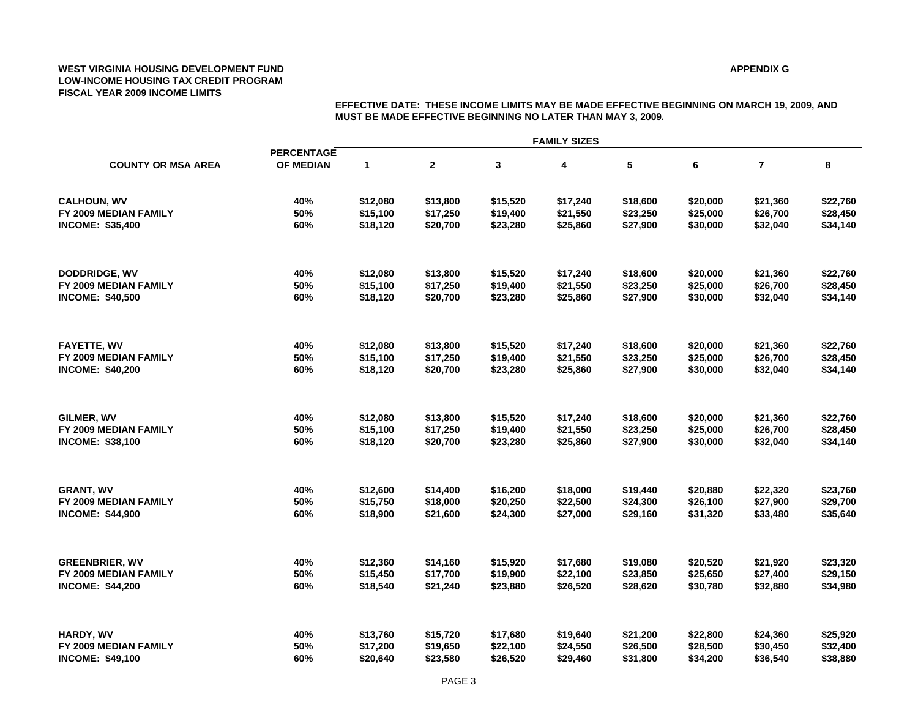### **APPENDIX G**

| <b>COUNTY OR MSA AREA</b> | <b>FAMILY SIZES</b>            |             |              |          |          |          |          |                |          |  |  |
|---------------------------|--------------------------------|-------------|--------------|----------|----------|----------|----------|----------------|----------|--|--|
|                           | <b>PERCENTAGE</b><br>OF MEDIAN | $\mathbf 1$ | $\mathbf{2}$ | 3        | 4        | 5        | 6        | $\overline{7}$ | 8        |  |  |
| <b>CALHOUN, WV</b>        | 40%                            | \$12,080    | \$13,800     | \$15,520 | \$17,240 | \$18,600 | \$20,000 | \$21,360       | \$22,760 |  |  |
| FY 2009 MEDIAN FAMILY     | 50%                            | \$15,100    | \$17,250     | \$19,400 | \$21,550 | \$23,250 | \$25,000 | \$26,700       | \$28,450 |  |  |
| <b>INCOME: \$35,400</b>   | 60%                            | \$18,120    | \$20,700     | \$23,280 | \$25,860 | \$27,900 | \$30,000 | \$32,040       | \$34,140 |  |  |
| DODDRIDGE, WV             | 40%                            | \$12,080    | \$13,800     | \$15,520 | \$17,240 | \$18,600 | \$20,000 | \$21,360       | \$22,760 |  |  |
| FY 2009 MEDIAN FAMILY     | 50%                            | \$15,100    | \$17,250     | \$19,400 | \$21,550 | \$23,250 | \$25,000 | \$26,700       | \$28,450 |  |  |
| <b>INCOME: \$40,500</b>   | 60%                            | \$18,120    | \$20,700     | \$23,280 | \$25,860 | \$27,900 | \$30,000 | \$32,040       | \$34,140 |  |  |
| <b>FAYETTE, WV</b>        | 40%                            | \$12,080    | \$13,800     | \$15,520 | \$17,240 | \$18,600 | \$20,000 | \$21,360       | \$22,760 |  |  |
| FY 2009 MEDIAN FAMILY     | 50%                            | \$15,100    | \$17,250     | \$19,400 | \$21,550 | \$23,250 | \$25,000 | \$26,700       | \$28,450 |  |  |
| <b>INCOME: \$40,200</b>   | 60%                            | \$18,120    | \$20,700     | \$23,280 | \$25,860 | \$27,900 | \$30,000 | \$32,040       | \$34,140 |  |  |
| GILMER, WV                | 40%                            | \$12,080    | \$13,800     | \$15,520 | \$17,240 | \$18,600 | \$20,000 | \$21,360       | \$22,760 |  |  |
| FY 2009 MEDIAN FAMILY     | 50%                            | \$15,100    | \$17,250     | \$19,400 | \$21,550 | \$23,250 | \$25,000 | \$26,700       | \$28,450 |  |  |
| <b>INCOME: \$38,100</b>   | 60%                            | \$18,120    | \$20,700     | \$23,280 | \$25,860 | \$27,900 | \$30,000 | \$32,040       | \$34,140 |  |  |
| <b>GRANT, WV</b>          | 40%                            | \$12,600    | \$14,400     | \$16,200 | \$18,000 | \$19,440 | \$20,880 | \$22,320       | \$23,760 |  |  |
| FY 2009 MEDIAN FAMILY     | 50%                            | \$15,750    | \$18,000     | \$20,250 | \$22,500 | \$24,300 | \$26,100 | \$27,900       | \$29,700 |  |  |
| <b>INCOME: \$44,900</b>   | 60%                            | \$18,900    | \$21,600     | \$24,300 | \$27,000 | \$29,160 | \$31,320 | \$33,480       | \$35,640 |  |  |
| <b>GREENBRIER, WV</b>     | 40%                            | \$12,360    | \$14,160     | \$15,920 | \$17,680 | \$19,080 | \$20,520 | \$21,920       | \$23,320 |  |  |
| FY 2009 MEDIAN FAMILY     | 50%                            | \$15,450    | \$17,700     | \$19,900 | \$22,100 | \$23,850 | \$25,650 | \$27,400       | \$29,150 |  |  |
| <b>INCOME: \$44,200</b>   | 60%                            | \$18,540    | \$21,240     | \$23,880 | \$26,520 | \$28,620 | \$30,780 | \$32,880       | \$34,980 |  |  |
| HARDY, WV                 | 40%                            | \$13,760    | \$15,720     | \$17,680 | \$19,640 | \$21,200 | \$22,800 | \$24,360       | \$25,920 |  |  |
| FY 2009 MEDIAN FAMILY     | 50%                            | \$17,200    | \$19,650     | \$22,100 | \$24,550 | \$26,500 | \$28,500 | \$30,450       | \$32,400 |  |  |
| <b>INCOME: \$49,100</b>   | 60%                            | \$20.640    | \$23,580     | \$26.520 | \$29.460 | \$31,800 | \$34,200 | \$36.540       | \$38,880 |  |  |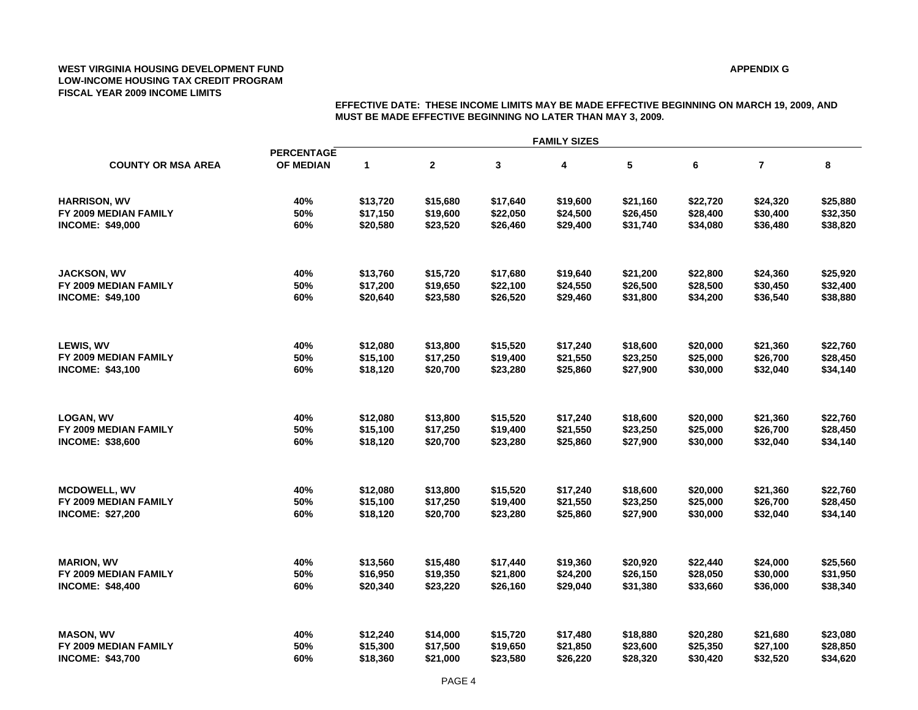### **APPENDIX G**

|                                                  | <b>MUST BE MADE EFFECTIVE BEGINNING NO LATER THAN MAY 3, 2009.</b> |                      |                      |                      |                      |                      |                      |                      |                      |  |
|--------------------------------------------------|--------------------------------------------------------------------|----------------------|----------------------|----------------------|----------------------|----------------------|----------------------|----------------------|----------------------|--|
|                                                  |                                                                    | <b>FAMILY SIZES</b>  |                      |                      |                      |                      |                      |                      |                      |  |
| <b>COUNTY OR MSA AREA</b>                        | <b>PERCENTAGE</b><br>OF MEDIAN                                     | $\mathbf{1}$         | $\mathbf{2}$         | 3                    | 4                    | ${\bf 5}$            | 6                    | $\overline{7}$       | 8                    |  |
| <b>HARRISON, WV</b>                              | 40%                                                                | \$13,720             | \$15,680             | \$17,640             | \$19,600             | \$21,160             | \$22,720             | \$24,320             | \$25,880             |  |
| FY 2009 MEDIAN FAMILY<br><b>INCOME: \$49,000</b> | 50%<br>60%                                                         | \$17,150<br>\$20,580 | \$19,600<br>\$23,520 | \$22,050<br>\$26,460 | \$24,500<br>\$29,400 | \$26,450<br>\$31,740 | \$28,400<br>\$34,080 | \$30,400<br>\$36,480 | \$32,350<br>\$38,820 |  |
|                                                  |                                                                    |                      |                      |                      |                      |                      |                      |                      |                      |  |
| <b>JACKSON, WV</b>                               | 40%                                                                | \$13,760             | \$15,720             | \$17,680             | \$19,640             | \$21,200             | \$22,800             | \$24,360             | \$25,920             |  |
| FY 2009 MEDIAN FAMILY                            | 50%                                                                | \$17,200             | \$19,650             | \$22,100             | \$24,550             | \$26,500             | \$28,500             | \$30,450             | \$32,400             |  |
| <b>INCOME: \$49,100</b>                          | 60%                                                                | \$20,640             | \$23,580             | \$26,520             | \$29,460             | \$31,800             | \$34,200             | \$36,540             | \$38,880             |  |
| LEWIS, WV                                        | 40%                                                                | \$12,080             | \$13,800             | \$15,520             | \$17,240             | \$18,600             | \$20,000             | \$21,360             | \$22,760             |  |
| FY 2009 MEDIAN FAMILY                            | 50%                                                                | \$15,100             | \$17,250             | \$19,400             | \$21,550             | \$23,250             | \$25,000             | \$26,700             | \$28,450             |  |
| <b>INCOME: \$43,100</b>                          | 60%                                                                | \$18,120             | \$20,700             | \$23,280             | \$25,860             | \$27,900             | \$30,000             | \$32,040             | \$34,140             |  |
| <b>LOGAN, WV</b>                                 | 40%                                                                | \$12,080             | \$13,800             | \$15,520             | \$17,240             | \$18,600             | \$20,000             | \$21,360             | \$22,760             |  |
| FY 2009 MEDIAN FAMILY                            | 50%                                                                | \$15,100             | \$17,250             | \$19,400             | \$21,550             | \$23,250             | \$25,000             | \$26,700             | \$28,450             |  |
| <b>INCOME: \$38,600</b>                          | 60%                                                                | \$18,120             | \$20,700             | \$23,280             | \$25,860             | \$27,900             | \$30,000             | \$32,040             | \$34,140             |  |
| <b>MCDOWELL, WV</b>                              | 40%                                                                | \$12,080             | \$13,800             | \$15,520             | \$17,240             | \$18,600             | \$20,000             | \$21,360             | \$22,760             |  |
| FY 2009 MEDIAN FAMILY                            | 50%                                                                | \$15,100             | \$17,250             | \$19,400             | \$21,550             | \$23,250             | \$25,000             | \$26,700             | \$28,450             |  |
| <b>INCOME: \$27,200</b>                          | 60%                                                                | \$18,120             | \$20,700             | \$23,280             | \$25,860             | \$27,900             | \$30,000             | \$32,040             | \$34,140             |  |
| <b>MARION, WV</b>                                | 40%                                                                | \$13,560             | \$15,480             | \$17,440             | \$19,360             | \$20,920             | \$22,440             | \$24,000             | \$25,560             |  |
| FY 2009 MEDIAN FAMILY                            | 50%                                                                | \$16,950             | \$19,350             | \$21,800             | \$24,200             | \$26,150             | \$28,050             | \$30,000             | \$31,950             |  |
| <b>INCOME: \$48,400</b>                          | 60%                                                                | \$20,340             | \$23,220             | \$26,160             | \$29,040             | \$31,380             | \$33,660             | \$36,000             | \$38,340             |  |
| <b>MASON, WV</b>                                 | 40%                                                                | \$12,240             | \$14,000             | \$15,720             | \$17,480             | \$18,880             | \$20,280             | \$21,680             | \$23,080             |  |
| FY 2009 MEDIAN FAMILY                            | 50%                                                                | \$15,300             | \$17,500             | \$19,650             | \$21,850             | \$23,600             | \$25,350             | \$27,100             | \$28,850             |  |
| <b>INCOME: \$43,700</b>                          | 60%                                                                | \$18,360             | \$21,000             | \$23,580             | \$26,220             | \$28,320             | \$30,420             | \$32,520             | \$34,620             |  |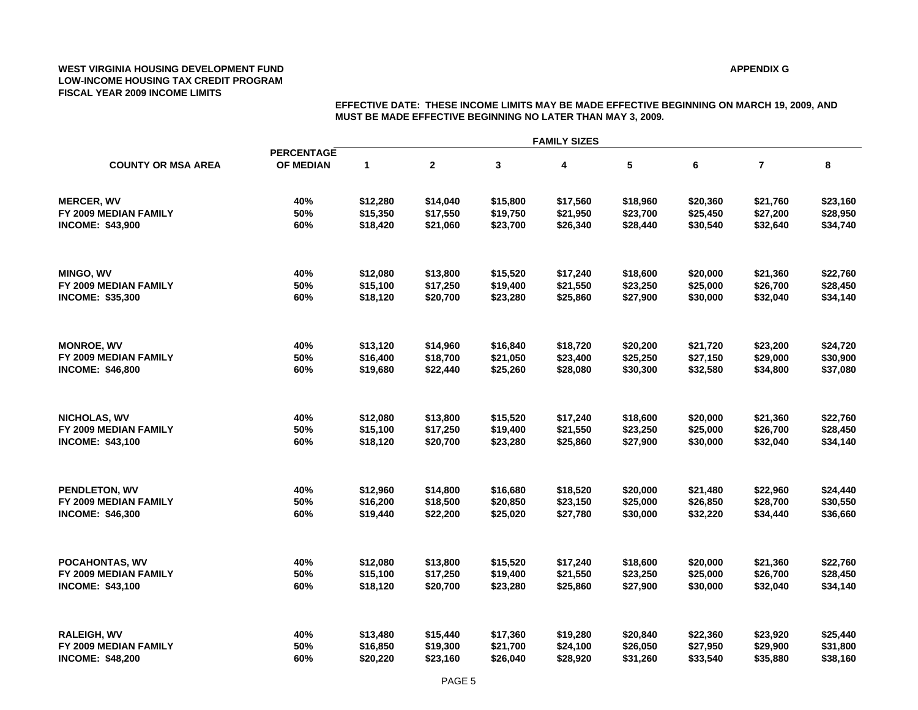### **APPENDIX G**

|                           | <b>FAMILY SIZES</b>            |          |          |          |          |          |          |                |          |  |  |
|---------------------------|--------------------------------|----------|----------|----------|----------|----------|----------|----------------|----------|--|--|
| <b>COUNTY OR MSA AREA</b> | <b>PERCENTAGE</b><br>OF MEDIAN | 1        | 2        | 3        | 4        | 5        | 6        | $\overline{7}$ | 8        |  |  |
| <b>MERCER, WV</b>         | 40%                            | \$12,280 | \$14,040 | \$15,800 | \$17,560 | \$18,960 | \$20,360 | \$21,760       | \$23,160 |  |  |
| FY 2009 MEDIAN FAMILY     | 50%                            | \$15,350 | \$17,550 | \$19,750 | \$21,950 | \$23,700 | \$25,450 | \$27,200       | \$28,950 |  |  |
| <b>INCOME: \$43,900</b>   | 60%                            | \$18,420 | \$21,060 | \$23,700 | \$26,340 | \$28,440 | \$30,540 | \$32,640       | \$34,740 |  |  |
| <b>MINGO, WV</b>          | 40%                            | \$12,080 | \$13,800 | \$15,520 | \$17,240 | \$18,600 | \$20,000 | \$21,360       | \$22,760 |  |  |
| FY 2009 MEDIAN FAMILY     | 50%                            | \$15,100 | \$17,250 | \$19,400 | \$21,550 | \$23,250 | \$25,000 | \$26,700       | \$28,450 |  |  |
| <b>INCOME: \$35,300</b>   | 60%                            | \$18,120 | \$20,700 | \$23,280 | \$25,860 | \$27,900 | \$30,000 | \$32,040       | \$34,140 |  |  |
| <b>MONROE, WV</b>         | 40%                            | \$13,120 | \$14,960 | \$16,840 | \$18,720 | \$20,200 | \$21,720 | \$23,200       | \$24,720 |  |  |
| FY 2009 MEDIAN FAMILY     | 50%                            | \$16,400 | \$18,700 | \$21,050 | \$23,400 | \$25,250 | \$27,150 | \$29,000       | \$30,900 |  |  |
| <b>INCOME: \$46,800</b>   | 60%                            | \$19,680 | \$22,440 | \$25,260 | \$28,080 | \$30,300 | \$32,580 | \$34,800       | \$37,080 |  |  |
| NICHOLAS, WV              | 40%                            | \$12,080 | \$13,800 | \$15,520 | \$17,240 | \$18,600 | \$20,000 | \$21,360       | \$22,760 |  |  |
| FY 2009 MEDIAN FAMILY     | 50%                            | \$15,100 | \$17,250 | \$19,400 | \$21,550 | \$23,250 | \$25,000 | \$26,700       | \$28,450 |  |  |
| INCOME: \$43,100          | 60%                            | \$18,120 | \$20,700 | \$23,280 | \$25,860 | \$27,900 | \$30,000 | \$32,040       | \$34,140 |  |  |
| PENDLETON, WV             | 40%                            | \$12,960 | \$14,800 | \$16,680 | \$18,520 | \$20,000 | \$21,480 | \$22,960       | \$24,440 |  |  |
| FY 2009 MEDIAN FAMILY     | 50%                            | \$16,200 | \$18,500 | \$20,850 | \$23,150 | \$25,000 | \$26,850 | \$28,700       | \$30,550 |  |  |
| <b>INCOME: \$46,300</b>   | 60%                            | \$19,440 | \$22,200 | \$25,020 | \$27,780 | \$30,000 | \$32,220 | \$34,440       | \$36,660 |  |  |
| POCAHONTAS, WV            | 40%                            | \$12,080 | \$13,800 | \$15,520 | \$17,240 | \$18,600 | \$20,000 | \$21,360       | \$22,760 |  |  |
| FY 2009 MEDIAN FAMILY     | 50%                            | \$15,100 | \$17,250 | \$19,400 | \$21,550 | \$23,250 | \$25,000 | \$26,700       | \$28,450 |  |  |
| <b>INCOME: \$43,100</b>   | 60%                            | \$18,120 | \$20,700 | \$23,280 | \$25,860 | \$27,900 | \$30,000 | \$32,040       | \$34,140 |  |  |
| RALEIGH, WV               | 40%                            | \$13,480 | \$15,440 | \$17,360 | \$19,280 | \$20,840 | \$22,360 | \$23,920       | \$25,440 |  |  |
| FY 2009 MEDIAN FAMILY     | 50%                            | \$16,850 | \$19,300 | \$21,700 | \$24,100 | \$26,050 | \$27,950 | \$29,900       | \$31,800 |  |  |
| <b>INCOME: \$48,200</b>   | 60%                            | \$20,220 | \$23,160 | \$26,040 | \$28,920 | \$31,260 | \$33,540 | \$35,880       | \$38,160 |  |  |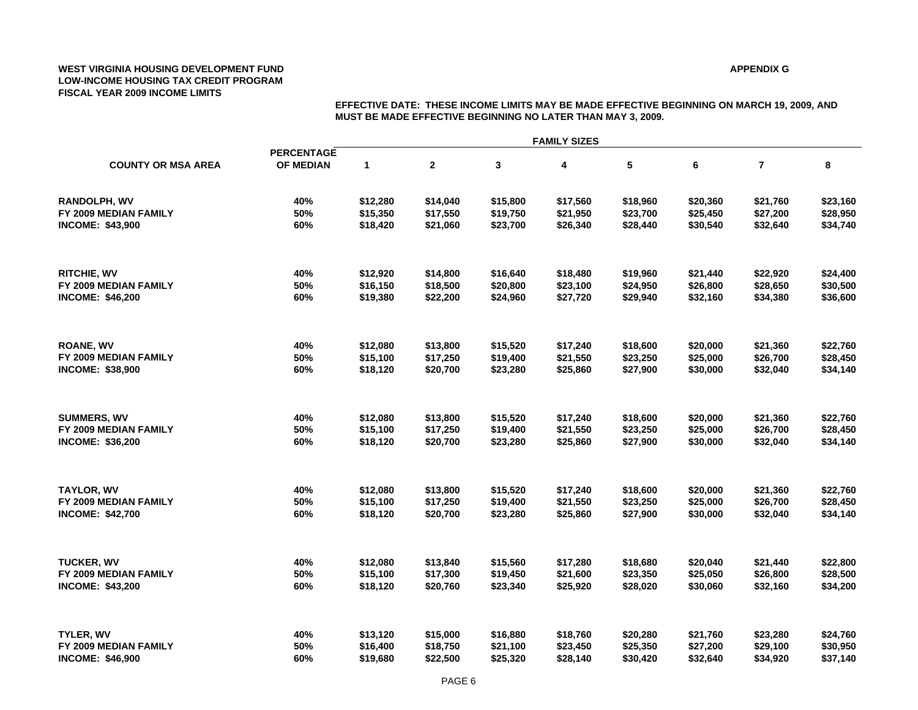### **APPENDIX G**

| <b>COUNTY OR MSA AREA</b> | <b>FAMILY SIZES</b>            |              |              |          |          |          |          |                |          |  |  |
|---------------------------|--------------------------------|--------------|--------------|----------|----------|----------|----------|----------------|----------|--|--|
|                           | <b>PERCENTAGE</b><br>OF MEDIAN | $\mathbf{1}$ | $\mathbf{2}$ | 3        | 4        | 5        | 6        | $\overline{7}$ | 8        |  |  |
| <b>RANDOLPH, WV</b>       | 40%                            | \$12,280     | \$14,040     | \$15,800 | \$17,560 | \$18,960 | \$20,360 | \$21,760       | \$23,160 |  |  |
| FY 2009 MEDIAN FAMILY     | 50%                            | \$15,350     | \$17,550     | \$19,750 | \$21,950 | \$23,700 | \$25,450 | \$27,200       | \$28,950 |  |  |
| <b>INCOME: \$43,900</b>   | 60%                            | \$18,420     | \$21,060     | \$23,700 | \$26,340 | \$28,440 | \$30,540 | \$32,640       | \$34,740 |  |  |
| <b>RITCHIE, WV</b>        | 40%                            | \$12,920     | \$14,800     | \$16,640 | \$18,480 | \$19,960 | \$21,440 | \$22,920       | \$24,400 |  |  |
| FY 2009 MEDIAN FAMILY     | 50%                            | \$16,150     | \$18,500     | \$20,800 | \$23,100 | \$24,950 | \$26,800 | \$28,650       | \$30,500 |  |  |
| <b>INCOME: \$46,200</b>   | 60%                            | \$19,380     | \$22,200     | \$24,960 | \$27,720 | \$29,940 | \$32,160 | \$34,380       | \$36,600 |  |  |
| <b>ROANE, WV</b>          | 40%                            | \$12,080     | \$13,800     | \$15,520 | \$17,240 | \$18,600 | \$20,000 | \$21,360       | \$22,760 |  |  |
| FY 2009 MEDIAN FAMILY     | 50%                            | \$15,100     | \$17,250     | \$19,400 | \$21,550 | \$23,250 | \$25,000 | \$26,700       | \$28,450 |  |  |
| <b>INCOME: \$38,900</b>   | 60%                            | \$18,120     | \$20,700     | \$23,280 | \$25,860 | \$27,900 | \$30,000 | \$32,040       | \$34,140 |  |  |
| <b>SUMMERS, WV</b>        | 40%                            | \$12,080     | \$13,800     | \$15,520 | \$17,240 | \$18,600 | \$20,000 | \$21,360       | \$22,760 |  |  |
| FY 2009 MEDIAN FAMILY     | 50%                            | \$15,100     | \$17,250     | \$19,400 | \$21,550 | \$23,250 | \$25,000 | \$26,700       | \$28,450 |  |  |
| <b>INCOME: \$36,200</b>   | 60%                            | \$18,120     | \$20,700     | \$23,280 | \$25,860 | \$27,900 | \$30,000 | \$32,040       | \$34,140 |  |  |
| <b>TAYLOR, WV</b>         | 40%                            | \$12,080     | \$13,800     | \$15,520 | \$17,240 | \$18,600 | \$20,000 | \$21,360       | \$22,760 |  |  |
| FY 2009 MEDIAN FAMILY     | 50%                            | \$15,100     | \$17,250     | \$19,400 | \$21,550 | \$23,250 | \$25,000 | \$26,700       | \$28,450 |  |  |
| <b>INCOME: \$42,700</b>   | 60%                            | \$18,120     | \$20,700     | \$23,280 | \$25,860 | \$27,900 | \$30,000 | \$32,040       | \$34,140 |  |  |
| <b>TUCKER, WV</b>         | 40%                            | \$12,080     | \$13,840     | \$15,560 | \$17,280 | \$18,680 | \$20,040 | \$21,440       | \$22,800 |  |  |
| FY 2009 MEDIAN FAMILY     | 50%                            | \$15,100     | \$17,300     | \$19,450 | \$21,600 | \$23,350 | \$25,050 | \$26,800       | \$28,500 |  |  |
| <b>INCOME: \$43,200</b>   | 60%                            | \$18,120     | \$20,760     | \$23,340 | \$25,920 | \$28,020 | \$30,060 | \$32,160       | \$34,200 |  |  |
| TYLER, WV                 | 40%                            | \$13,120     | \$15,000     | \$16,880 | \$18,760 | \$20,280 | \$21,760 | \$23,280       | \$24,760 |  |  |
| FY 2009 MEDIAN FAMILY     | 50%                            | \$16,400     | \$18,750     | \$21,100 | \$23,450 | \$25,350 | \$27,200 | \$29,100       | \$30,950 |  |  |
| <b>INCOME: \$46,900</b>   | 60%                            | \$19,680     | \$22,500     | \$25,320 | \$28,140 | \$30,420 | \$32,640 | \$34,920       | \$37,140 |  |  |